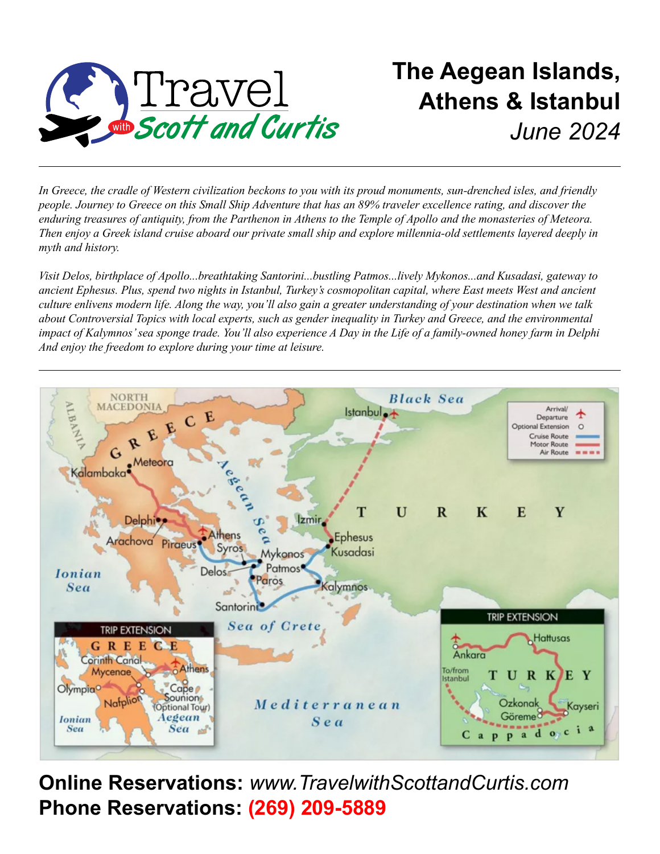

## **The Aegean Islands, Athens & Istanbul** *June 2024*

*In Greece, the cradle of Western civilization beckons to you with its proud monuments, sun-drenched isles, and friendly people. Journey to Greece on this Small Ship Adventure that has an 89% traveler excellence rating, and discover the enduring treasures of antiquity, from the Parthenon in Athens to the Temple of Apollo and the monasteries of Meteora. Then enjoy a Greek island cruise aboard our private small ship and explore millennia-old settlements layered deeply in myth and history.* 

*Visit Delos, birthplace of Apollo...breathtaking Santorini...bustling Patmos...lively Mykonos...and Kusadasi, gateway to ancient Ephesus. Plus, spend two nights in Istanbul, Turkey's cosmopolitan capital, where East meets West and ancient culture enlivens modern life. Along the way, you'll also gain a greater understanding of your destination when we talk about Controversial Topics with local experts, such as gender inequality in Turkey and Greece, and the environmental impact of Kalymnos' sea sponge trade. You'll also experience A Day in the Life of a family-owned honey farm in Delphi And enjoy the freedom to explore during your time at leisure.*



**Online Reservations:** *www.TravelwithScottandCurtis.com* **Phone Reservations: (269) 209-5889**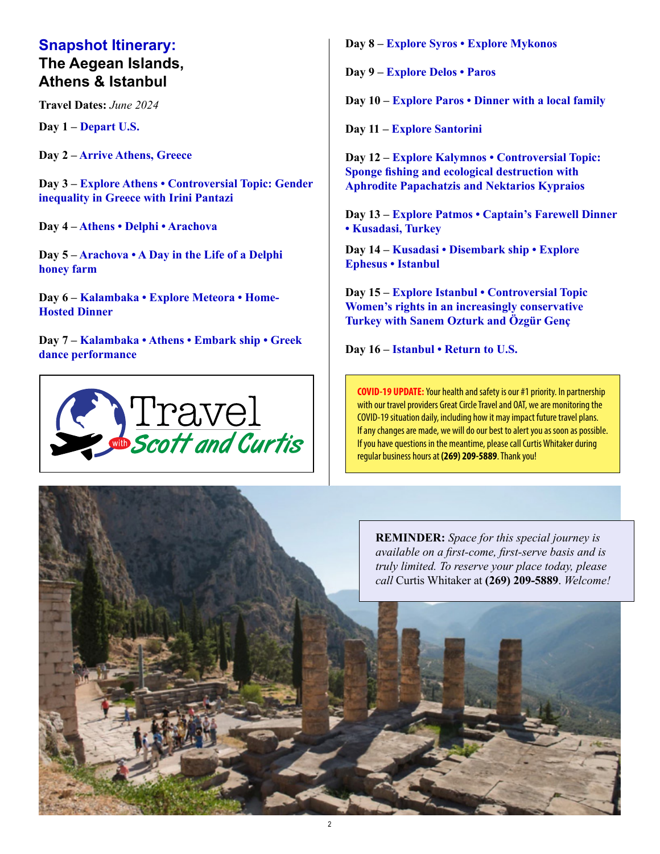## **Snapshot Itinerary:**

#### **The Aegean Islands, Athens & Istanbul**

**Travel Dates:** *June 2024*

**Day 1 – Depart U.S.**

**Day 2 – Arrive Athens, Greece**

**Day 3 – Explore Athens • Controversial Topic: Gender inequality in Greece with Irini Pantazi**

**Day 4 – Athens • Delphi • Arachova**

**Day 5 – Arachova • A Day in the Life of a Delphi honey farm**

**Day 6 – Kalambaka • Explore Meteora • Home-Hosted Dinner**

**Day 7 – Kalambaka • Athens • Embark ship • Greek dance performance**



**Day 8 – Explore Syros • Explore Mykonos**

**Day 9 – Explore Delos • Paros**

**Day 10 – Explore Paros • Dinner with a local family**

**Day 11 – Explore Santorini**

**Day 12 – Explore Kalymnos • Controversial Topic: Sponge fishing and ecological destruction with Aphrodite Papachatzis and Nektarios Kypraios**

**Day 13 – Explore Patmos • Captain's Farewell Dinner • Kusadasi, Turkey**

**Day 14 – Kusadasi • Disembark ship • Explore Ephesus • Istanbul**

**Day 15 – Explore Istanbul • Controversial Topic Women's rights in an increasingly conservative Turkey with Sanem Ozturk and Özgür Genç**

**Day 16 – Istanbul • Return to U.S.**

**COVID-19 UPDATE:** Your health and safety is our #1 priority. In partnership with our travel providers Great Circle Travel and OAT, we are monitoring the COVID-19 situation daily, including how it may impact future travel plans. If any changes are made, we will do our best to alert you as soon as possible. If you have questions in the meantime, please call Curtis Whitaker during regular business hours at **(269) 209-5889**. Thank you!

**REMINDER:** *Space for this special journey is available on a first-come, first-serve basis and is truly limited. To reserve your place today, please call* Curtis Whitaker at **(269) 209-5889**. *Welcome!*